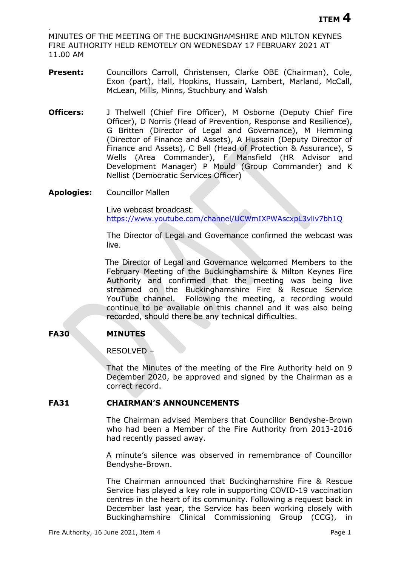. MINUTES OF THE MEETING OF THE BUCKINGHAMSHIRE AND MILTON KEYNES FIRE AUTHORITY HELD REMOTELY ON WEDNESDAY 17 FEBRUARY 2021 AT 11.00 AM

- Present: Councillors Carroll, Christensen, Clarke OBE (Chairman), Cole, Exon (part), Hall, Hopkins, Hussain, Lambert, Marland, McCall, McLean, Mills, Minns, Stuchbury and Walsh
- **Officers:** J Thelwell (Chief Fire Officer), M Osborne (Deputy Chief Fire Officer), D Norris (Head of Prevention, Response and Resilience), G Britten (Director of Legal and Governance), M Hemming (Director of Finance and Assets), A Hussain (Deputy Director of Finance and Assets), C Bell (Head of Protection & Assurance), S Wells (Area Commander), F Mansfield (HR Advisor and Development Manager) P Mould (Group Commander) and K Nellist (Democratic Services Officer)
- **Apologies:** Councillor Mallen

Live webcast broadcast: <https://www.youtube.com/channel/UCWmIXPWAscxpL3vliv7bh1Q>

The Director of Legal and Governance confirmed the webcast was live.

The Director of Legal and Governance welcomed Members to the February Meeting of the Buckinghamshire & Milton Keynes Fire Authority and confirmed that the meeting was being live streamed on the Buckinghamshire Fire & Rescue Service YouTube channel. Following the meeting, a recording would continue to be available on this channel and it was also being recorded, should there be any technical difficulties.

# **FA30 MINUTES**

RESOLVED –

That the Minutes of the meeting of the Fire Authority held on 9 December 2020, be approved and signed by the Chairman as a correct record.

## **FA31 CHAIRMAN'S ANNOUNCEMENTS**

The Chairman advised Members that Councillor Bendyshe-Brown who had been a Member of the Fire Authority from 2013-2016 had recently passed away.

A minute's silence was observed in remembrance of Councillor Bendyshe-Brown.

The Chairman announced that Buckinghamshire Fire & Rescue Service has played a key role in supporting COVID-19 vaccination centres in the heart of its community. Following a request back in December last year, the Service has been working closely with Buckinghamshire Clinical Commissioning Group (CCG), in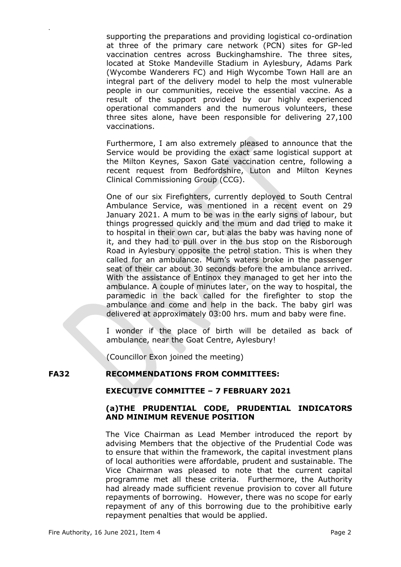supporting the preparations and providing logistical co-ordination at three of the primary care network (PCN) sites for GP-led vaccination centres across Buckinghamshire. The three sites, located at Stoke Mandeville Stadium in Aylesbury, Adams Park (Wycombe Wanderers FC) and High Wycombe Town Hall are an integral part of the delivery model to help the most vulnerable people in our communities, receive the essential vaccine. As a result of the support provided by our highly experienced operational commanders and the numerous volunteers, these three sites alone, have been responsible for delivering 27,100 vaccinations.

Furthermore, I am also extremely pleased to announce that the Service would be providing the exact same logistical support at the Milton Keynes, Saxon Gate vaccination centre, following a recent request from Bedfordshire, Luton and Milton Keynes Clinical Commissioning Group (CCG).

One of our six Firefighters, currently deployed to South Central Ambulance Service, was mentioned in a recent event on 29 January 2021. A mum to be was in the early signs of labour, but things progressed quickly and the mum and dad tried to make it to hospital in their own car, but alas the baby was having none of it, and they had to pull over in the bus stop on the Risborough Road in Aylesbury opposite the petrol station. This is when they called for an ambulance. Mum's waters broke in the passenger seat of their car about 30 seconds before the ambulance arrived. With the assistance of Entinox they managed to get her into the ambulance. A couple of minutes later, on the way to hospital, the paramedic in the back called for the firefighter to stop the ambulance and come and help in the back. The baby girl was delivered at approximately 03:00 hrs. mum and baby were fine.

I wonder if the place of birth will be detailed as back of ambulance, near the Goat Centre, Aylesbury!

(Councillor Exon joined the meeting)

# **FA32 RECOMMENDATIONS FROM COMMITTEES:**

#### **EXECUTIVE COMMITTEE – 7 FEBRUARY 2021**

## **(a)THE PRUDENTIAL CODE, PRUDENTIAL INDICATORS AND MINIMUM REVENUE POSITION**

The Vice Chairman as Lead Member introduced the report by advising Members that the objective of the Prudential Code was to ensure that within the framework, the capital investment plans of local authorities were affordable, prudent and sustainable. The Vice Chairman was pleased to note that the current capital programme met all these criteria. Furthermore, the Authority had already made sufficient revenue provision to cover all future repayments of borrowing. However, there was no scope for early repayment of any of this borrowing due to the prohibitive early repayment penalties that would be applied.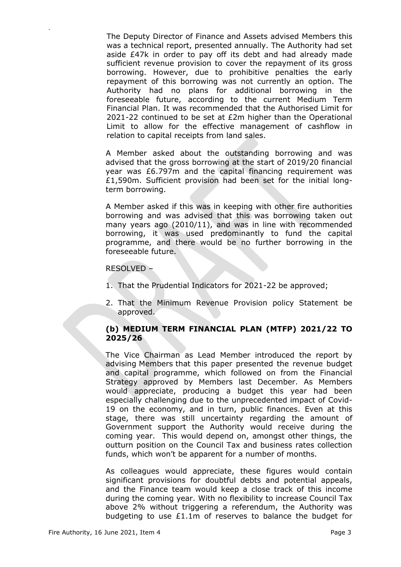The Deputy Director of Finance and Assets advised Members this was a technical report, presented annually. The Authority had set aside £47k in order to pay off its debt and had already made sufficient revenue provision to cover the repayment of its gross borrowing. However, due to prohibitive penalties the early repayment of this borrowing was not currently an option. The Authority had no plans for additional borrowing in the foreseeable future, according to the current Medium Term Financial Plan. It was recommended that the Authorised Limit for 2021-22 continued to be set at £2m higher than the Operational Limit to allow for the effective management of cashflow in relation to capital receipts from land sales.

A Member asked about the outstanding borrowing and was advised that the gross borrowing at the start of 2019/20 financial year was £6.797m and the capital financing requirement was £1,590m. Sufficient provision had been set for the initial longterm borrowing.

A Member asked if this was in keeping with other fire authorities borrowing and was advised that this was borrowing taken out many years ago (2010/11), and was in line with recommended borrowing, it was used predominantly to fund the capital programme, and there would be no further borrowing in the foreseeable future.

### RESOLVED –

.

- 1. That the Prudential Indicators for 2021-22 be approved;
- 2. That the Minimum Revenue Provision policy Statement be approved.

# **(b) MEDIUM TERM FINANCIAL PLAN (MTFP) 2021/22 TO 2025/26**

The Vice Chairman as Lead Member introduced the report by advising Members that this paper presented the revenue budget and capital programme, which followed on from the Financial Strategy approved by Members last December. As Members would appreciate, producing a budget this year had been especially challenging due to the unprecedented impact of Covid-19 on the economy, and in turn, public finances. Even at this stage, there was still uncertainty regarding the amount of Government support the Authority would receive during the coming year. This would depend on, amongst other things, the outturn position on the Council Tax and business rates collection funds, which won't be apparent for a number of months.

As colleagues would appreciate, these figures would contain significant provisions for doubtful debts and potential appeals, and the Finance team would keep a close track of this income during the coming year. With no flexibility to increase Council Tax above 2% without triggering a referendum, the Authority was budgeting to use £1.1m of reserves to balance the budget for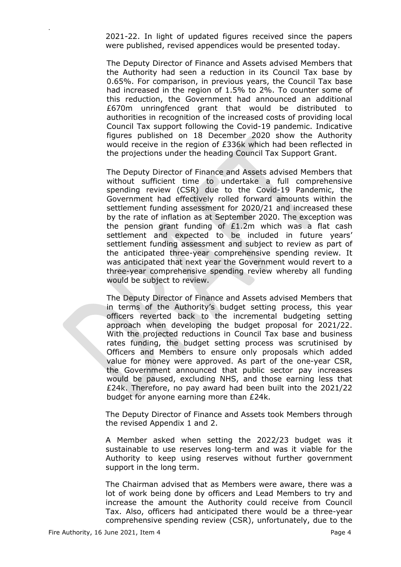2021-22. In light of updated figures received since the papers were published, revised appendices would be presented today.

The Deputy Director of Finance and Assets advised Members that the Authority had seen a reduction in its Council Tax base by 0.65%. For comparison, in previous years, the Council Tax base had increased in the region of 1.5% to 2%. To counter some of this reduction, the Government had announced an additional £670m unringfenced grant that would be distributed to authorities in recognition of the increased costs of providing local Council Tax support following the Covid-19 pandemic. Indicative figures published on 18 December 2020 show the Authority would receive in the region of £336k which had been reflected in the projections under the heading Council Tax Support Grant.

The Deputy Director of Finance and Assets advised Members that without sufficient time to undertake a full comprehensive spending review (CSR) due to the Covid-19 Pandemic, the Government had effectively rolled forward amounts within the settlement funding assessment for 2020/21 and increased these by the rate of inflation as at September 2020. The exception was the pension grant funding of £1.2m which was a flat cash settlement and expected to be included in future years' settlement funding assessment and subject to review as part of the anticipated three-year comprehensive spending review. It was anticipated that next year the Government would revert to a three-year comprehensive spending review whereby all funding would be subject to review.

The Deputy Director of Finance and Assets advised Members that in terms of the Authority's budget setting process, this year officers reverted back to the incremental budgeting setting approach when developing the budget proposal for 2021/22. With the projected reductions in Council Tax base and business rates funding, the budget setting process was scrutinised by Officers and Members to ensure only proposals which added value for money were approved. As part of the one-year CSR, the Government announced that public sector pay increases would be paused, excluding NHS, and those earning less that £24k. Therefore, no pay award had been built into the 2021/22 budget for anyone earning more than £24k.

The Deputy Director of Finance and Assets took Members through the revised Appendix 1 and 2.

A Member asked when setting the 2022/23 budget was it sustainable to use reserves long-term and was it viable for the Authority to keep using reserves without further government support in the long term.

The Chairman advised that as Members were aware, there was a lot of work being done by officers and Lead Members to try and increase the amount the Authority could receive from Council Tax. Also, officers had anticipated there would be a three-year comprehensive spending review (CSR), unfortunately, due to the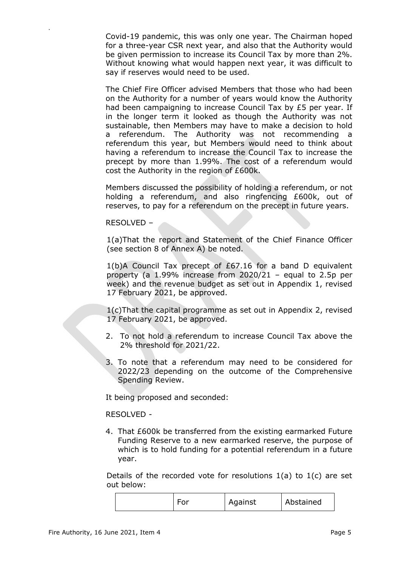Covid-19 pandemic, this was only one year. The Chairman hoped for a three-year CSR next year, and also that the Authority would be given permission to increase its Council Tax by more than 2%. Without knowing what would happen next year, it was difficult to say if reserves would need to be used.

The Chief Fire Officer advised Members that those who had been on the Authority for a number of years would know the Authority had been campaigning to increase Council Tax by £5 per year. If in the longer term it looked as though the Authority was not sustainable, then Members may have to make a decision to hold a referendum. The Authority was not recommending a referendum this year, but Members would need to think about having a referendum to increase the Council Tax to increase the precept by more than 1.99%. The cost of a referendum would cost the Authority in the region of £600k.

Members discussed the possibility of holding a referendum, or not holding a referendum, and also ringfencing £600k, out of reserves, to pay for a referendum on the precept in future years.

### RESOLVED –

.

1(a)That the report and Statement of the Chief Finance Officer (see section 8 of Annex A) be noted.

1(b)A Council Tax precept of £67.16 for a band D equivalent property (a 1.99% increase from 2020/21 – equal to 2.5p per week) and the revenue budget as set out in Appendix 1, revised 17 February 2021, be approved.

1(c)That the capital programme as set out in Appendix 2, revised 17 February 2021, be approved.

- 2. To not hold a referendum to increase Council Tax above the 2% threshold for 2021/22.
- 3. To note that a referendum may need to be considered for 2022/23 depending on the outcome of the Comprehensive Spending Review.

It being proposed and seconded:

#### RESOLVED -

4. That £600k be transferred from the existing earmarked Future Funding Reserve to a new earmarked reserve, the purpose of which is to hold funding for a potential referendum in a future year.

Details of the recorded vote for resolutions 1(a) to 1(c) are set out below:

| $\sim$ $\sim$ | Against | Abstained |
|---------------|---------|-----------|
|---------------|---------|-----------|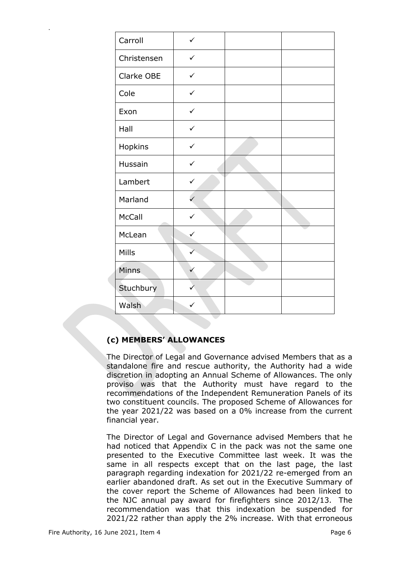| Carroll      | ✓            |  |
|--------------|--------------|--|
| Christensen  | $\checkmark$ |  |
| Clarke OBE   | ✓            |  |
| Cole         | $\checkmark$ |  |
| Exon         | $\checkmark$ |  |
| Hall         | $\checkmark$ |  |
| Hopkins      | $\checkmark$ |  |
| Hussain      | $\checkmark$ |  |
| Lambert      | ✓            |  |
| Marland      | $\checkmark$ |  |
| McCall       | $\checkmark$ |  |
| McLean       | ✓            |  |
| Mills        |              |  |
| <b>Minns</b> | ✓            |  |
| Stuchbury    |              |  |
| Walsh        |              |  |

# **(c) MEMBERS' ALLOWANCES**

The Director of Legal and Governance advised Members that as a standalone fire and rescue authority, the Authority had a wide discretion in adopting an Annual Scheme of Allowances. The only proviso was that the Authority must have regard to the recommendations of the Independent Remuneration Panels of its two constituent councils. The proposed Scheme of Allowances for the year 2021/22 was based on a 0% increase from the current financial year.

The Director of Legal and Governance advised Members that he had noticed that Appendix C in the pack was not the same one presented to the Executive Committee last week. It was the same in all respects except that on the last page, the last paragraph regarding indexation for 2021/22 re-emerged from an earlier abandoned draft. As set out in the Executive Summary of the cover report the Scheme of Allowances had been linked to the NJC annual pay award for firefighters since 2012/13. The recommendation was that this indexation be suspended for 2021/22 rather than apply the 2% increase. With that erroneous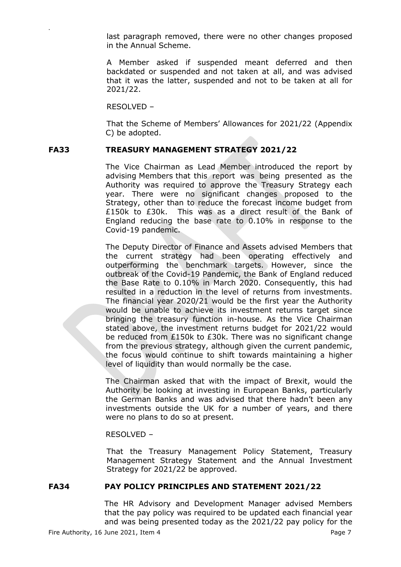last paragraph removed, there were no other changes proposed in the Annual Scheme.

A Member asked if suspended meant deferred and then backdated or suspended and not taken at all, and was advised that it was the latter, suspended and not to be taken at all for 2021/22.

RESOLVED –

.

That the Scheme of Members' Allowances for 2021/22 (Appendix C) be adopted.

# **FA33 TREASURY MANAGEMENT STRATEGY 2021/22**

The Vice Chairman as Lead Member introduced the report by advising Members that this report was being presented as the Authority was required to approve the Treasury Strategy each year. There were no significant changes proposed to the Strategy, other than to reduce the forecast income budget from £150k to £30k. This was as a direct result of the Bank of England reducing the base rate to 0.10% in response to the Covid-19 pandemic.

The Deputy Director of Finance and Assets advised Members that the current strategy had been operating effectively and outperforming the benchmark targets. However, since the outbreak of the Covid-19 Pandemic, the Bank of England reduced the Base Rate to 0.10% in March 2020. Consequently, this had resulted in a reduction in the level of returns from investments. The financial year 2020/21 would be the first year the Authority would be unable to achieve its investment returns target since bringing the treasury function in-house. As the Vice Chairman stated above, the investment returns budget for 2021/22 would be reduced from £150k to £30k. There was no significant change from the previous strategy, although given the current pandemic, the focus would continue to shift towards maintaining a higher level of liquidity than would normally be the case.

The Chairman asked that with the impact of Brexit, would the Authority be looking at investing in European Banks, particularly the German Banks and was advised that there hadn't been any investments outside the UK for a number of years, and there were no plans to do so at present.

RESOLVED –

That the Treasury Management Policy Statement, Treasury Management Strategy Statement and the Annual Investment Strategy for 2021/22 be approved.

## **FA34 PAY POLICY PRINCIPLES AND STATEMENT 2021/22**

The HR Advisory and Development Manager advised Members that the pay policy was required to be updated each financial year and was being presented today as the 2021/22 pay policy for the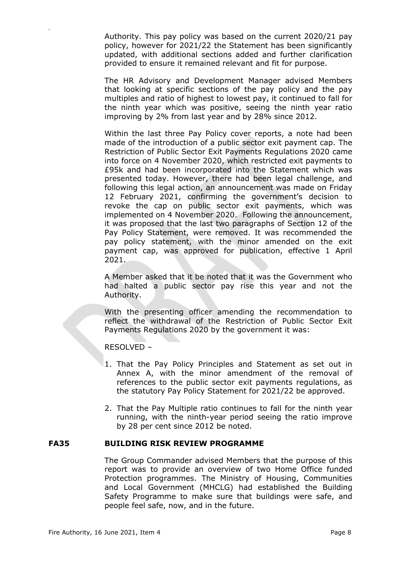Authority. This pay policy was based on the current 2020/21 pay policy, however for 2021/22 the Statement has been significantly updated, with additional sections added and further clarification provided to ensure it remained relevant and fit for purpose.

The HR Advisory and Development Manager advised Members that looking at specific sections of the pay policy and the pay multiples and ratio of highest to lowest pay, it continued to fall for the ninth year which was positive, seeing the ninth year ratio improving by 2% from last year and by 28% since 2012.

Within the last three Pay Policy cover reports, a note had been made of the introduction of a public sector exit payment cap. The Restriction of Public Sector Exit Payments Regulations 2020 came into force on 4 November 2020, which restricted exit payments to £95k and had been incorporated into the Statement which was presented today. However, there had been legal challenge, and following this legal action, an announcement was made on Friday 12 February 2021, confirming the government's decision to revoke the cap on public sector exit payments, which was implemented on 4 November 2020. Following the announcement, it was proposed that the last two paragraphs of Section 12 of the Pay Policy Statement, were removed. It was recommended the pay policy statement, with the minor amended on the exit payment cap, was approved for publication, effective 1 April 2021.

A Member asked that it be noted that it was the Government who had halted a public sector pay rise this year and not the Authority.

With the presenting officer amending the recommendation to reflect the withdrawal of the Restriction of Public Sector Exit Payments Regulations 2020 by the government it was:

RESOLVED –

.

- 1. That the Pay Policy Principles and Statement as set out in Annex A, with the minor amendment of the removal of references to the public sector exit payments regulations, as the statutory Pay Policy Statement for 2021/22 be approved.
- 2. That the Pay Multiple ratio continues to fall for the ninth year running, with the ninth-year period seeing the ratio improve by 28 per cent since 2012 be noted.

#### **FA35 BUILDING RISK REVIEW PROGRAMME**

The Group Commander advised Members that the purpose of this report was to provide an overview of two Home Office funded Protection programmes. The Ministry of Housing, Communities and Local Government (MHCLG) had established the Building Safety Programme to make sure that buildings were safe, and people feel safe, now, and in the future.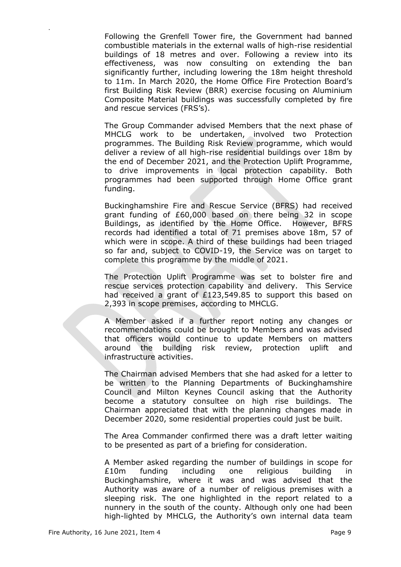Following the Grenfell Tower fire, the Government had banned combustible materials in the external walls of high-rise residential buildings of 18 metres and over. Following a review into its effectiveness, was now consulting on extending the ban significantly further, including lowering the 18m height threshold to 11m. In March 2020, the Home Office Fire Protection Board's first Building Risk Review (BRR) exercise focusing on Aluminium Composite Material buildings was successfully completed by fire and rescue services (FRS's).

The Group Commander advised Members that the next phase of MHCLG work to be undertaken, involved two Protection programmes. The Building Risk Review programme, which would deliver a review of all high-rise residential buildings over 18m by the end of December 2021, and the Protection Uplift Programme, to drive improvements in local protection capability. Both programmes had been supported through Home Office grant funding.

Buckinghamshire Fire and Rescue Service (BFRS) had received grant funding of £60,000 based on there being 32 in scope Buildings, as identified by the Home Office. However, BFRS records had identified a total of 71 premises above 18m, 57 of which were in scope. A third of these buildings had been triaged so far and, subject to COVID-19, the Service was on target to complete this programme by the middle of 2021.

The Protection Uplift Programme was set to bolster fire and rescue services protection capability and delivery. This Service had received a grant of £123,549.85 to support this based on 2,393 in scope premises, according to MHCLG.

A Member asked if a further report noting any changes or recommendations could be brought to Members and was advised that officers would continue to update Members on matters around the building risk review, protection uplift and infrastructure activities.

The Chairman advised Members that she had asked for a letter to be written to the Planning Departments of Buckinghamshire Council and Milton Keynes Council asking that the Authority become a statutory consultee on high rise buildings. The Chairman appreciated that with the planning changes made in December 2020, some residential properties could just be built.

The Area Commander confirmed there was a draft letter waiting to be presented as part of a briefing for consideration.

A Member asked regarding the number of buildings in scope for £10m funding including one religious building in Buckinghamshire, where it was and was advised that the Authority was aware of a number of religious premises with a sleeping risk. The one highlighted in the report related to a nunnery in the south of the county. Although only one had been high-lighted by MHCLG, the Authority's own internal data team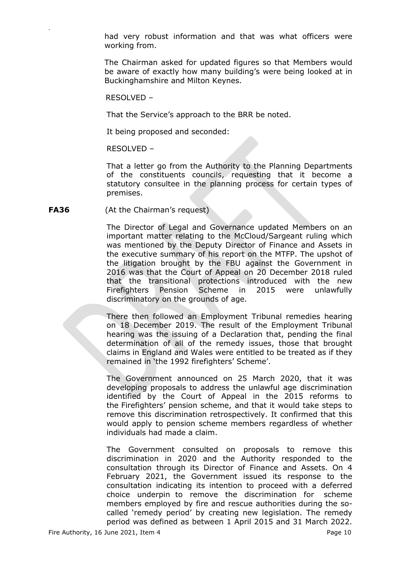had very robust information and that was what officers were working from.

The Chairman asked for updated figures so that Members would be aware of exactly how many building's were being looked at in Buckinghamshire and Milton Keynes.

RESOLVED –

.

That the Service's approach to the BRR be noted.

It being proposed and seconded:

RESOLVED –

That a letter go from the Authority to the Planning Departments of the constituents councils, requesting that it become a statutory consultee in the planning process for certain types of premises.

#### **FA36** (At the Chairman's request)

The Director of Legal and Governance updated Members on an important matter relating to the McCloud/Sargeant ruling which was mentioned by the Deputy Director of Finance and Assets in the executive summary of his report on the MTFP. The upshot of the litigation brought by the FBU against the Government in 2016 was that the Court of Appeal on 20 December 2018 ruled that the transitional protections introduced with the new Firefighters Pension Scheme in 2015 were unlawfully discriminatory on the grounds of age.

There then followed an Employment Tribunal remedies hearing on 18 December 2019. The result of the Employment Tribunal hearing was the issuing of a Declaration that, pending the final determination of all of the remedy issues, those that brought claims in England and Wales were entitled to be treated as if they remained in 'the 1992 firefighters' Scheme'.

The Government announced on 25 March 2020, that it was developing proposals to address the unlawful age discrimination identified by the Court of Appeal in the 2015 reforms to the Firefighters' pension scheme, and that it would take steps to remove this discrimination retrospectively. It confirmed that this would apply to pension scheme members regardless of whether individuals had made a claim.

The Government consulted on proposals to remove this discrimination in 2020 and the Authority responded to the consultation through its Director of Finance and Assets. On 4 February 2021, the Government issued its response to the consultation indicating its intention to proceed with a deferred choice underpin to remove the discrimination for scheme members employed by fire and rescue authorities during the socalled 'remedy period' by creating new legislation. The remedy period was defined as between 1 April 2015 and 31 March 2022.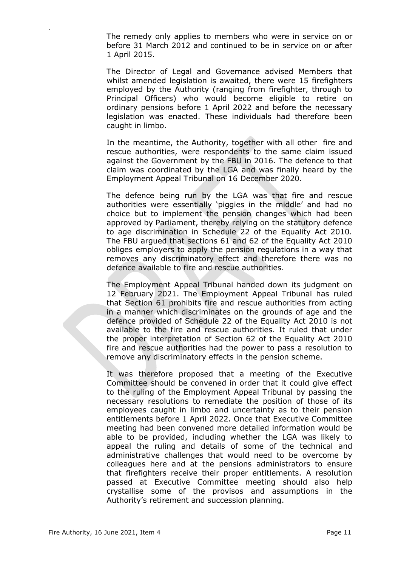The remedy only applies to members who were in service on or before 31 March 2012 and continued to be in service on or after 1 April 2015.

The Director of Legal and Governance advised Members that whilst amended legislation is awaited, there were 15 firefighters employed by the Authority (ranging from firefighter, through to Principal Officers) who would become eligible to retire on ordinary pensions before 1 April 2022 and before the necessary legislation was enacted. These individuals had therefore been caught in limbo.

In the meantime, the Authority, together with all other fire and rescue authorities, were respondents to the same claim issued against the Government by the FBU in 2016. The defence to that claim was coordinated by the LGA and was finally heard by the Employment Appeal Tribunal on 16 December 2020.

The defence being run by the LGA was that fire and rescue authorities were essentially 'piggies in the middle' and had no choice but to implement the pension changes which had been approved by Parliament, thereby relying on the statutory defence to age discrimination in Schedule 22 of the Equality Act 2010. The FBU argued that sections 61 and 62 of the Equality Act 2010 obliges employers to apply the pension regulations in a way that removes any discriminatory effect and therefore there was no defence available to fire and rescue authorities.

The Employment Appeal Tribunal handed down its judgment on 12 February 2021. The Employment Appeal Tribunal has ruled that Section 61 prohibits fire and rescue authorities from acting in a manner which discriminates on the grounds of age and the defence provided of Schedule 22 of the Equality Act 2010 is not available to the fire and rescue authorities. It ruled that under the proper interpretation of Section 62 of the Equality Act 2010 fire and rescue authorities had the power to pass a resolution to remove any discriminatory effects in the pension scheme.

It was therefore proposed that a meeting of the Executive Committee should be convened in order that it could give effect to the ruling of the Employment Appeal Tribunal by passing the necessary resolutions to remediate the position of those of its employees caught in limbo and uncertainty as to their pension entitlements before 1 April 2022. Once that Executive Committee meeting had been convened more detailed information would be able to be provided, including whether the LGA was likely to appeal the ruling and details of some of the technical and administrative challenges that would need to be overcome by colleagues here and at the pensions administrators to ensure that firefighters receive their proper entitlements. A resolution passed at Executive Committee meeting should also help crystallise some of the provisos and assumptions in the Authority's retirement and succession planning.